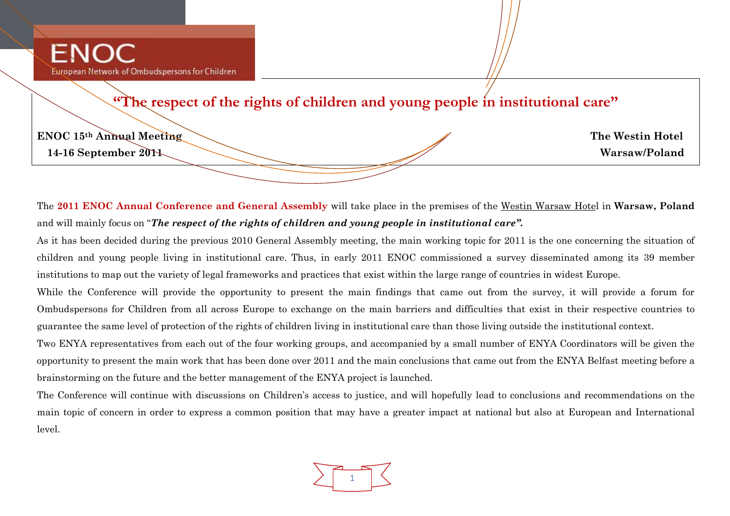**"The respect of the rights of children and young people in institutional care"**

| <b>ENOC 15th Annual Meeting</b> |  |
|---------------------------------|--|
| 14-16 September 2011            |  |

**ENOC 15th Annual Meeting The Westin Hotel**  $Warsaw/Poland$ 

The **2011 ENOC Annual Conference and General Assembly** will take place in the premises of the Westin Warsaw Hotel in **Warsaw, Poland** and will mainly focus on "*The respect of the rights of children and young people in institutional care".*

As it has been decided during the previous 2010 General Assembly meeting, the main working topic for 2011 is the one concerning the situation of children and young people living in institutional care. Thus, in early 2011 ENOC commissioned a survey disseminated among its 39 member institutions to map out the variety of legal frameworks and practices that exist within the large range of countries in widest Europe.

While the Conference will provide the opportunity to present the main findings that came out from the survey, it will provide a forum for Ombudspersons for Children from all across Europe to exchange on the main barriers and difficulties that exist in their respective countries to guarantee the same level of protection of the rights of children living in institutional care than those living outside the institutional context.

Two ENYA representatives from each out of the four working groups, and accompanied by a small number of ENYA Coordinators will be given the opportunity to present the main work that has been done over 2011 and the main conclusions that came out from the ENYA Belfast meeting before a brainstorming on the future and the better management of the ENYA project is launched.

The Conference will continue with discussions on Children's access to justice, and will hopefully lead to conclusions and recommendations on the main topic of concern in order to express a common position that may have a greater impact at national but also at European and International level.

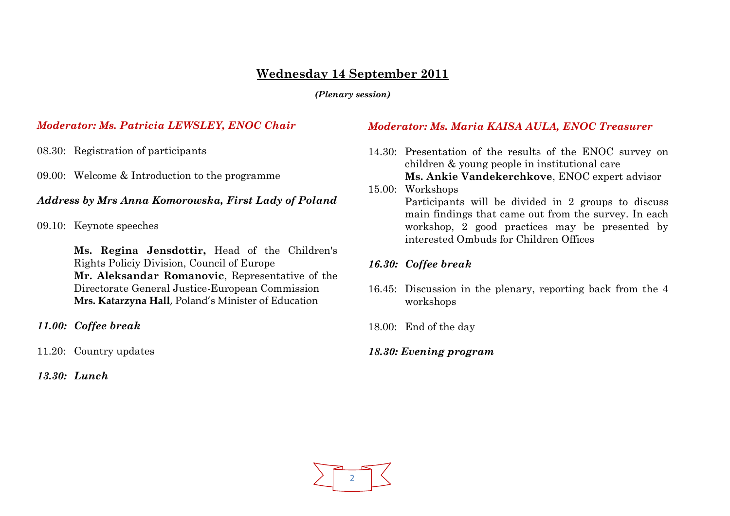# **Wednesday 14 September 2011**

*(Plenary session)*

# *Moderator: Ms. Patricia LEWSLEY, ENOC Chair*

08.30: Registration of participants

09.00: Welcome & Introduction to the programme

# *Address by Mrs Anna Komorowska, First Lady of Poland*

09.10: Keynote speeches

**Ms. Regina Jensdottir,** Head of the Children's Rights Policiy Division, Council of Europe **Mr. Aleksandar Romanovic**, Representative of the Directorate General Justice-European Commission **Mrs. Katarzyna Hall**, Poland's Minister of Education

*11.00: Coffee break*

11.20: Country updates

*13.30: Lunch*

# *Moderator: Ms. Maria KAISA AULA, ENOC Treasurer*

- 14.30: Presentation of the results of the ENOC survey on children & young people in institutional care **Ms. Ankie Vandekerchkove**, ENOC expert advisor
- 15.00: Workshops Participants will be divided in 2 groups to discuss main findings that came out from the survey. In each workshop, 2 good practices may be presented by interested Ombuds for Children Offices

# *16.30: Coffee break*

- 16.45: Discussion in the plenary, reporting back from the 4 workshops
- 18.00: End of the day
- *18.30: Evening program*